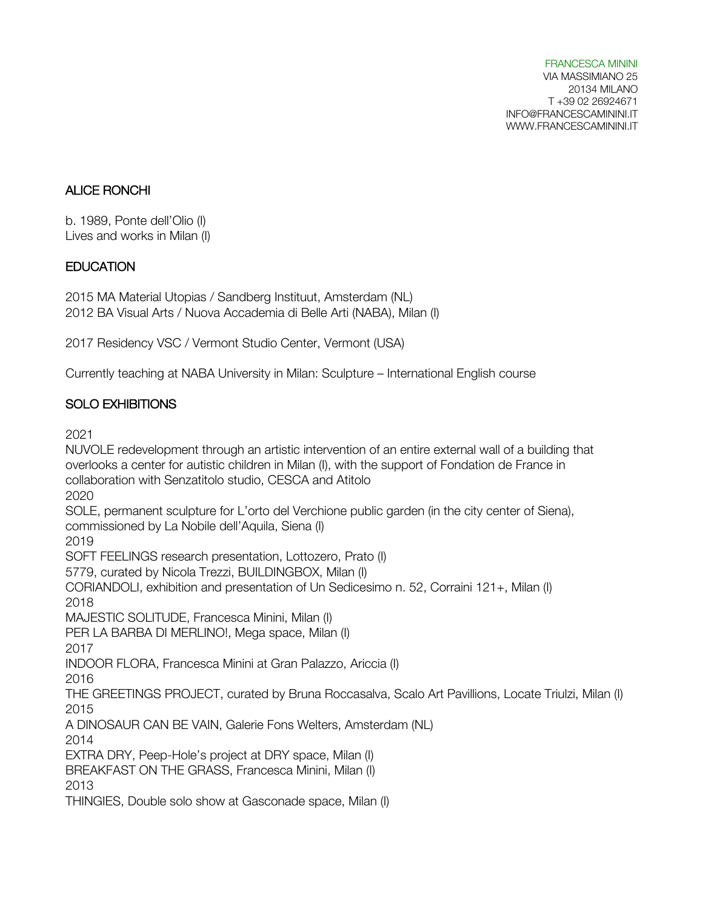FRANCESCA MININI VIA MASSIMIANO 25 20134 MILANO T +39 02 26924671 INFO@FRANCESCAMININI.IT WWW.FRANCESCAMININI.IT

### ALICE RONCHI

b. 1989, Ponte dell'Olio (I) Lives and works in Milan (I)

#### **EDUCATION**

2015 MA Material Utopias / Sandberg Instituut, Amsterdam (NL) 2012 BA Visual Arts / Nuova Accademia di Belle Arti (NABA), Milan (I)

2017 Residency VSC / Vermont Studio Center, Vermont (USA)

Currently teaching at NABA University in Milan: Sculpture – International English course

### SOLO EXHIBITIONS

2021

NUVOLE redevelopment through an artistic intervention of an entire external wall of a building that overlooks a center for autistic children in Milan (I), with the support of Fondation de France in collaboration with Senzatitolo studio, CESCA and Atitolo 2020 SOLE, permanent sculpture for L'orto del Verchione public garden (in the city center of Siena), commissioned by La Nobile dell'Aquila, Siena (I) 2019 SOFT FEELINGS research presentation, Lottozero, Prato (I) 5779, curated by Nicola Trezzi, BUILDINGBOX, Milan (I) CORIANDOLI, exhibition and presentation of Un Sedicesimo n. 52, Corraini 121+, Milan (I) 2018 MAJESTIC SOLITUDE, Francesca Minini, Milan (I) PER LA BARBA DI MERLINO!, Mega space, Milan (I) 2017 INDOOR FLORA, Francesca Minini at Gran Palazzo, Ariccia (I) 2016 THE GREETINGS PROJECT, curated by Bruna Roccasalva, Scalo Art Pavillions, Locate Triulzi, Milan (I) 2015 A DINOSAUR CAN BE VAIN, Galerie Fons Welters, Amsterdam (NL) 2014 EXTRA DRY, Peep-Hole's project at DRY space, Milan (I) BREAKFAST ON THE GRASS, Francesca Minini, Milan (I) 2013 THINGIES, Double solo show at Gasconade space, Milan (I)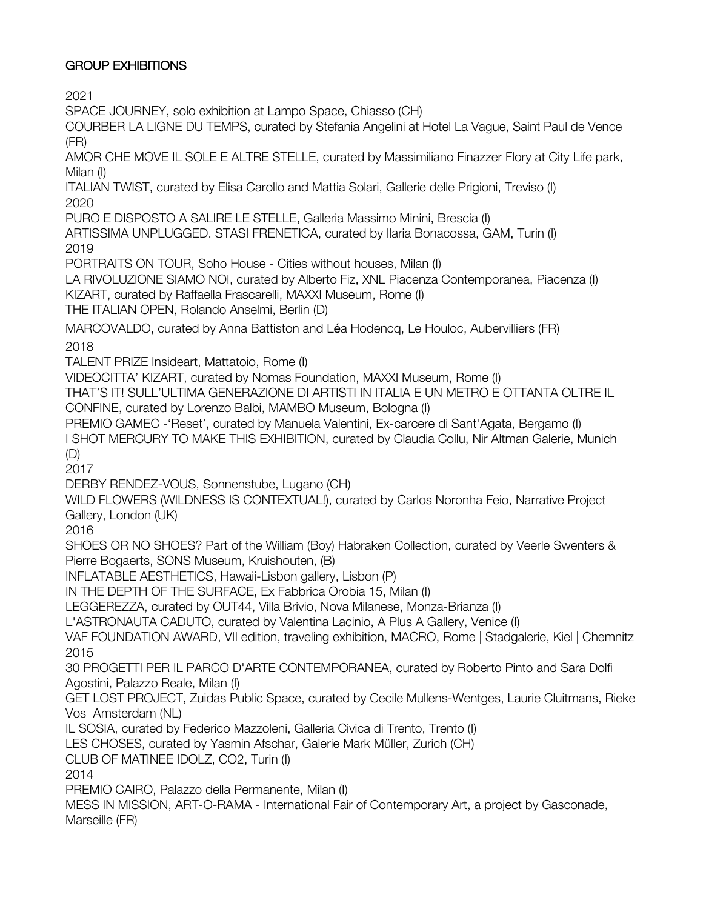### GROUP EXHIBITIONS

2021

SPACE JOURNEY, solo exhibition at Lampo Space, Chiasso (CH)

COURBER LA LIGNE DU TEMPS, curated by Stefania Angelini at Hotel La Vague, Saint Paul de Vence (FR)

AMOR CHE MOVE IL SOLE E ALTRE STELLE, curated by Massimiliano Finazzer Flory at City Life park, Milan (I)

ITALIAN TWIST, curated by Elisa Carollo and Mattia Solari, Gallerie delle Prigioni, Treviso (I) 2020

PURO E DISPOSTO A SALIRE LE STELLE, Galleria Massimo Minini, Brescia (I)

ARTISSIMA UNPLUGGED. STASI FRENETICA, curated by Ilaria Bonacossa, GAM, Turin (I) 2019

PORTRAITS ON TOUR, Soho House - Cities without houses, Milan (I)

LA RIVOLUZIONE SIAMO NOI, curated by Alberto Fiz, XNL Piacenza Contemporanea, Piacenza (I) KIZART, curated by Raffaella Frascarelli, MAXXI Museum, Rome (I)

THE ITALIAN OPEN, Rolando Anselmi, Berlin (D)

MARCOVALDO, curated by Anna Battiston and Léa Hodencq, Le Houloc, Aubervilliers (FR) 2018

TALENT PRIZE Insideart, Mattatoio, Rome (I)

VIDEOCITTA' KIZART, curated by Nomas Foundation, MAXXI Museum, Rome (I)

THAT'S IT! SULL'ULTIMA GENERAZIONE DI ARTISTI IN ITALIA E UN METRO E OTTANTA OLTRE IL CONFINE, curated by Lorenzo Balbi, MAMBO Museum, Bologna (I)

PREMIO GAMEC -'Reset', curated by Manuela Valentini, Ex-carcere di Sant'Agata, Bergamo (I)

I SHOT MERCURY TO MAKE THIS EXHIBITION, curated by Claudia Collu, Nir Altman Galerie, Munich (D)

2017

DERBY RENDEZ-VOUS, Sonnenstube, Lugano (CH)

WILD FLOWERS (WILDNESS IS CONTEXTUAL!), curated by Carlos Noronha Feio, Narrative Project Gallery, London (UK)

2016

SHOES OR NO SHOES? Part of the William (Boy) Habraken Collection, curated by Veerle Swenters & Pierre Bogaerts, SONS Museum, Kruishouten, (B)

INFLATABLE AESTHETICS, Hawaii-Lisbon gallery, Lisbon (P)

IN THE DEPTH OF THE SURFACE, Ex Fabbrica Orobia 15, Milan (I)

LEGGEREZZA, curated by OUT44, Villa Brivio, Nova Milanese, Monza-Brianza (I)

L'ASTRONAUTA CADUTO, curated by Valentina Lacinio, A Plus A Gallery, Venice (I)

VAF FOUNDATION AWARD, VII edition, traveling exhibition, MACRO, Rome | Stadgalerie, Kiel | Chemnitz 2015

30 PROGETTI PER IL PARCO D'ARTE CONTEMPORANEA, curated by Roberto Pinto and Sara Dolfi Agostini, Palazzo Reale, Milan (I)

GET LOST PROJECT, Zuidas Public Space, curated by Cecile Mullens-Wentges, Laurie Cluitmans, Rieke Vos Amsterdam (NL)

IL SOSIA, curated by Federico Mazzoleni, Galleria Civica di Trento, Trento (I)

LES CHOSES, curated by Yasmin Afschar, Galerie Mark Müller, Zurich (CH)

CLUB OF MATINEE IDOLZ, CO2, Turin (I)

2014

PREMIO CAIRO, Palazzo della Permanente, Milan (I)

MESS IN MISSION, ART-O-RAMA - International Fair of Contemporary Art, a project by Gasconade, Marseille (FR)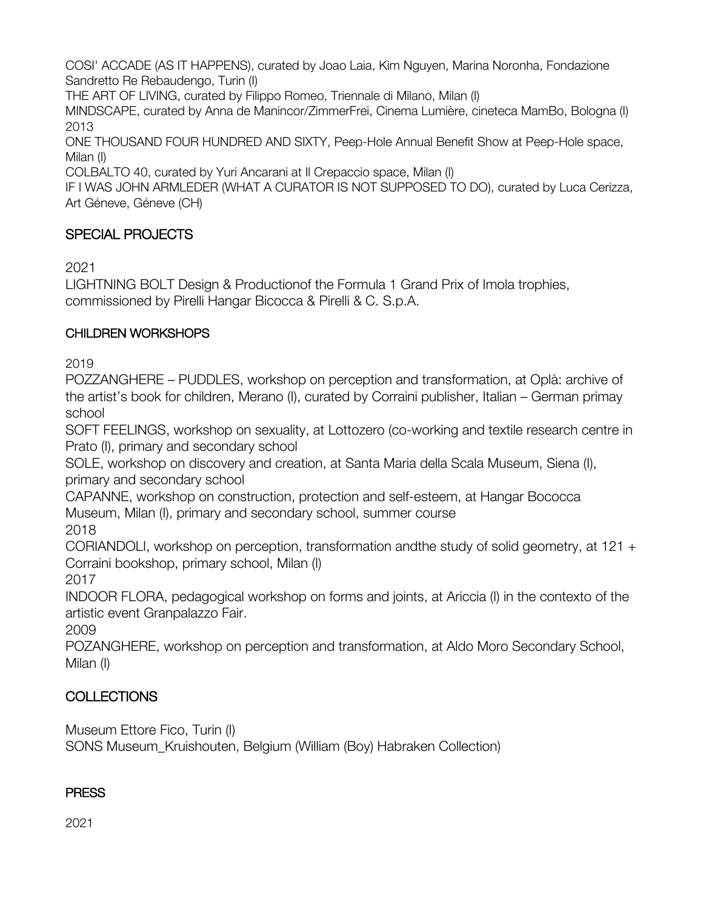COSI' ACCADE (AS IT HAPPENS), curated by Joao Laia, Kim Nguyen, Marina Noronha, Fondazione Sandretto Re Rebaudengo, Turin (I)

THE ART OF LIVING, curated by Filippo Romeo, Triennale di Milano, Milan (I)

MINDSCAPE, curated by Anna de Manincor/ZimmerFrei, Cinema Lumière, cineteca MamBo, Bologna (I) 2013

ONE THOUSAND FOUR HUNDRED AND SIXTY, Peep-Hole Annual Benefit Show at Peep-Hole space, Milan (I)

COLBALTO 40, curated by Yuri Ancarani at Il Crepaccio space, Milan (I)

IF I WAS JOHN ARMLEDER (WHAT A CURATOR IS NOT SUPPOSED TO DO), curated by Luca Cerizza, Art Géneve, Géneve (CH)

# SPECIAL PROJECTS

2021

LIGHTNING BOLT Design & Productionof the Formula 1 Grand Prix of Imola trophies, commissioned by Pirelli Hangar Bicocca & Pirelli & C. S.p.A.

# CHILDREN WORKSHOPS

2019

POZZANGHERE – PUDDLES, workshop on perception and transformation, at Oplà: archive of the artist's book for children, Merano (I), curated by Corraini publisher, Italian – German primay school

SOFT FEELINGS, workshop on sexuality, at Lottozero (co-working and textile research centre in Prato (I), primary and secondary school

SOLE, workshop on discovery and creation, at Santa Maria della Scala Museum, Siena (I), primary and secondary school

CAPANNE, workshop on construction, protection and self-esteem, at Hangar Bococca Museum, Milan (I), primary and secondary school, summer course 2018

CORIANDOLI, workshop on perception, transformation andthe study of solid geometry, at 121 + Corraini bookshop, primary school, Milan (I)

2017

INDOOR FLORA, pedagogical workshop on forms and joints, at Ariccia (I) in the contexto of the artistic event Granpalazzo Fair.

2009

POZANGHERE, workshop on perception and transformation, at Aldo Moro Secondary School, Milan (I)

# **COLLECTIONS**

Museum Ettore Fico, Turin (I)

SONS Museum\_Kruishouten, Belgium (William (Boy) Habraken Collection)

## **PRESS**

2021